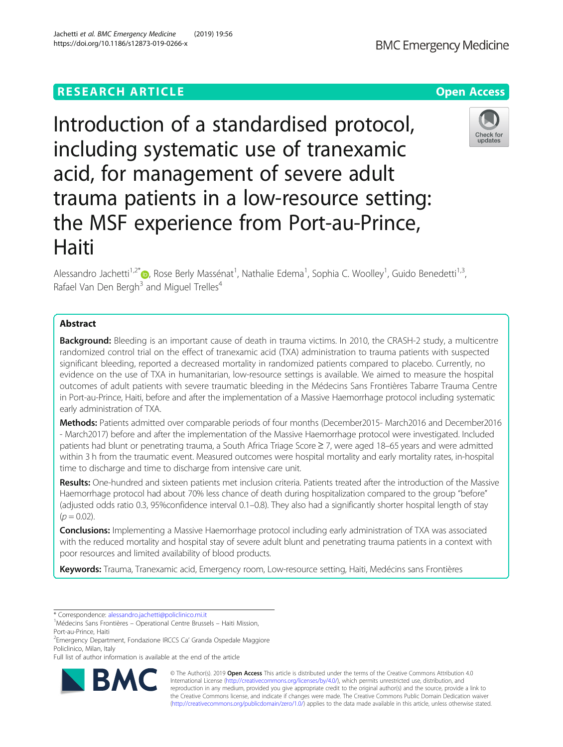# **RESEARCH ARTICLE Example 2014 12:30 The Open Access**

Introduction of a standardised protocol, including systematic use of tranexamic acid, for management of severe adult trauma patients in a low-resource setting: the MSF experience from Port-au-Prince, Haiti

Alessandro Jachetti<sup>1[,](http://orcid.org/0000-0001-8769-0355)2\*</sup> (D, Rose Berly Massénat<sup>1</sup>, Nathalie Edema<sup>1</sup>, Sophia C. Woolley<sup>1</sup>, Guido Benedetti<sup>1,3</sup>, Rafael Van Den Bergh<sup>3</sup> and Miguel Trelles<sup>4</sup>

## Abstract

**Background:** Bleeding is an important cause of death in trauma victims. In 2010, the CRASH-2 study, a multicentre randomized control trial on the effect of tranexamic acid (TXA) administration to trauma patients with suspected significant bleeding, reported a decreased mortality in randomized patients compared to placebo. Currently, no evidence on the use of TXA in humanitarian, low-resource settings is available. We aimed to measure the hospital outcomes of adult patients with severe traumatic bleeding in the Médecins Sans Frontières Tabarre Trauma Centre in Port-au-Prince, Haiti, before and after the implementation of a Massive Haemorrhage protocol including systematic early administration of TXA.

Methods: Patients admitted over comparable periods of four months (December2015- March2016 and December2016 - March2017) before and after the implementation of the Massive Haemorrhage protocol were investigated. Included patients had blunt or penetrating trauma, a South Africa Triage Score ≥ 7, were aged 18–65 years and were admitted within 3 h from the traumatic event. Measured outcomes were hospital mortality and early mortality rates, in-hospital time to discharge and time to discharge from intensive care unit.

Results: One-hundred and sixteen patients met inclusion criteria. Patients treated after the introduction of the Massive Haemorrhage protocol had about 70% less chance of death during hospitalization compared to the group "before" (adjusted odds ratio 0.3, 95%confidence interval 0.1–0.8). They also had a significantly shorter hospital length of stay  $(p = 0.02)$ .

**Conclusions:** Implementing a Massive Haemorrhage protocol including early administration of TXA was associated with the reduced mortality and hospital stay of severe adult blunt and penetrating trauma patients in a context with poor resources and limited availability of blood products.

Keywords: Trauma, Tranexamic acid, Emergency room, Low-resource setting, Haiti, Medécins sans Frontières

© The Author(s). 2019 Open Access This article is distributed under the terms of the Creative Commons Attribution 4.0 International License [\(http://creativecommons.org/licenses/by/4.0/](http://creativecommons.org/licenses/by/4.0/)), which permits unrestricted use, distribution, and reproduction in any medium, provided you give appropriate credit to the original author(s) and the source, provide a link to the Creative Commons license, and indicate if changes were made. The Creative Commons Public Domain Dedication waiver [\(http://creativecommons.org/publicdomain/zero/1.0/](http://creativecommons.org/publicdomain/zero/1.0/)) applies to the data made available in this article, unless otherwise stated.







<sup>\*</sup> Correspondence: [alessandro.jachetti@policlinico.mi.it](mailto:alessandro.jachetti@policlinico.mi.it) <sup>1</sup>

Médecins Sans Frontières – Operational Centre Brussels – Haiti Mission, Port-au-Prince, Haiti

<sup>&</sup>lt;sup>2</sup> Emergency Department, Fondazione IRCCS Ca' Granda Ospedale Maggiore Policlinico, Milan, Italy

Full list of author information is available at the end of the article

Jachetti et al. BMC Emergency Medicine (2019) 19:56 https://doi.org/10.1186/s12873-019-0266-x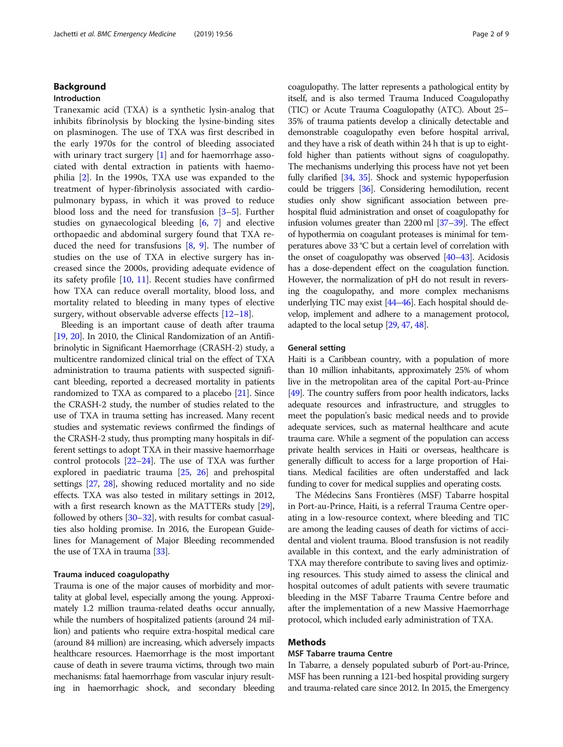## Background

## Introduction

Tranexamic acid (TXA) is a synthetic lysin-analog that inhibits fibrinolysis by blocking the lysine-binding sites on plasminogen. The use of TXA was first described in the early 1970s for the control of bleeding associated with urinary tract surgery [[1\]](#page-6-0) and for haemorrhage associated with dental extraction in patients with haemophilia [[2\]](#page-6-0). In the 1990s, TXA use was expanded to the treatment of hyper-fibrinolysis associated with cardiopulmonary bypass, in which it was proved to reduce blood loss and the need for transfusion [\[3](#page-6-0)–[5](#page-6-0)]. Further studies on gynaecological bleeding [[6,](#page-6-0) [7](#page-7-0)] and elective orthopaedic and abdominal surgery found that TXA reduced the need for transfusions  $[8, 9]$  $[8, 9]$  $[8, 9]$ . The number of studies on the use of TXA in elective surgery has increased since the 2000s, providing adequate evidence of its safety profile [\[10](#page-7-0), [11\]](#page-7-0). Recent studies have confirmed how TXA can reduce overall mortality, blood loss, and mortality related to bleeding in many types of elective surgery, without observable adverse effects [\[12](#page-7-0)–[18](#page-7-0)].

Bleeding is an important cause of death after trauma [[19](#page-7-0), [20](#page-7-0)]. In 2010, the Clinical Randomization of an Antifibrinolytic in Significant Haemorrhage (CRASH-2) study, a multicentre randomized clinical trial on the effect of TXA administration to trauma patients with suspected significant bleeding, reported a decreased mortality in patients randomized to TXA as compared to a placebo [\[21\]](#page-7-0). Since the CRASH-2 study, the number of studies related to the use of TXA in trauma setting has increased. Many recent studies and systematic reviews confirmed the findings of the CRASH-2 study, thus prompting many hospitals in different settings to adopt TXA in their massive haemorrhage control protocols [\[22](#page-7-0)–[24](#page-7-0)]. The use of TXA was further explored in paediatric trauma [\[25,](#page-7-0) [26\]](#page-7-0) and prehospital settings [\[27](#page-7-0), [28](#page-7-0)], showing reduced mortality and no side effects. TXA was also tested in military settings in 2012, with a first research known as the MATTERs study [[29](#page-7-0)], followed by others [\[30](#page-7-0)–[32](#page-7-0)], with results for combat casualties also holding promise. In 2016, the European Guidelines for Management of Major Bleeding recommended the use of TXA in trauma [\[33\]](#page-7-0).

#### Trauma induced coagulopathy

Trauma is one of the major causes of morbidity and mortality at global level, especially among the young. Approximately 1.2 million trauma-related deaths occur annually, while the numbers of hospitalized patients (around 24 million) and patients who require extra-hospital medical care (around 84 million) are increasing, which adversely impacts healthcare resources. Haemorrhage is the most important cause of death in severe trauma victims, through two main mechanisms: fatal haemorrhage from vascular injury resulting in haemorrhagic shock, and secondary bleeding coagulopathy. The latter represents a pathological entity by itself, and is also termed Trauma Induced Coagulopathy (TIC) or Acute Trauma Coagulopathy (ATC). About 25– 35% of trauma patients develop a clinically detectable and demonstrable coagulopathy even before hospital arrival, and they have a risk of death within 24 h that is up to eightfold higher than patients without signs of coagulopathy. The mechanisms underlying this process have not yet been fully clarified [\[34](#page-7-0), [35](#page-7-0)]. Shock and systemic hypoperfusion could be triggers [[36](#page-7-0)]. Considering hemodilution, recent studies only show significant association between prehospital fluid administration and onset of coagulopathy for infusion volumes greater than 2200 ml [\[37](#page-7-0)–[39\]](#page-7-0). The effect of hypothermia on coagulant proteases is minimal for temperatures above 33 °C but a certain level of correlation with the onset of coagulopathy was observed [\[40](#page-7-0)–[43\]](#page-7-0). Acidosis has a dose-dependent effect on the coagulation function. However, the normalization of pH do not result in reversing the coagulopathy, and more complex mechanisms underlying TIC may exist [\[44](#page-7-0)–[46\]](#page-7-0). Each hospital should develop, implement and adhere to a management protocol, adapted to the local setup [\[29](#page-7-0), [47](#page-7-0), [48](#page-7-0)].

### General setting

Haiti is a Caribbean country, with a population of more than 10 million inhabitants, approximately 25% of whom live in the metropolitan area of the capital Port-au-Prince [[49](#page-7-0)]. The country suffers from poor health indicators, lacks adequate resources and infrastructure, and struggles to meet the population's basic medical needs and to provide adequate services, such as maternal healthcare and acute trauma care. While a segment of the population can access private health services in Haiti or overseas, healthcare is generally difficult to access for a large proportion of Haitians. Medical facilities are often understaffed and lack funding to cover for medical supplies and operating costs.

The Médecins Sans Frontières (MSF) Tabarre hospital in Port-au-Prince, Haiti, is a referral Trauma Centre operating in a low-resource context, where bleeding and TIC are among the leading causes of death for victims of accidental and violent trauma. Blood transfusion is not readily available in this context, and the early administration of TXA may therefore contribute to saving lives and optimizing resources. This study aimed to assess the clinical and hospital outcomes of adult patients with severe traumatic bleeding in the MSF Tabarre Trauma Centre before and after the implementation of a new Massive Haemorrhage protocol, which included early administration of TXA.

## Methods

## MSF Tabarre trauma Centre

In Tabarre, a densely populated suburb of Port-au-Prince, MSF has been running a 121-bed hospital providing surgery and trauma-related care since 2012. In 2015, the Emergency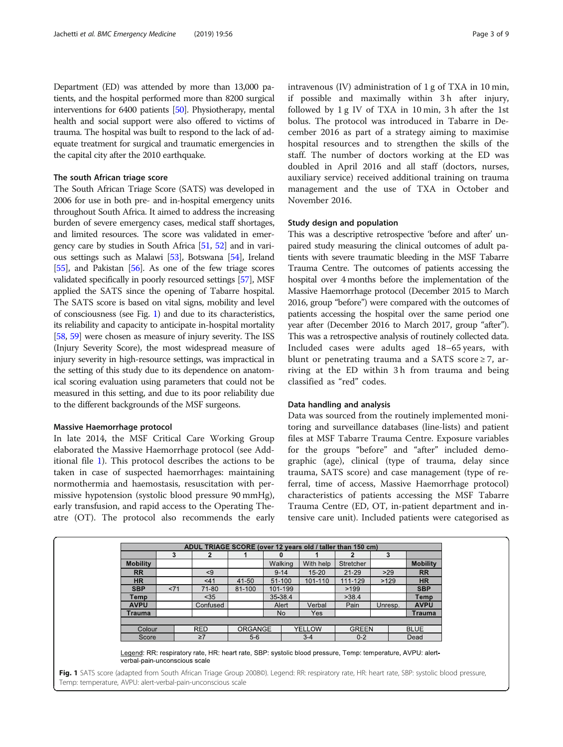Department (ED) was attended by more than 13,000 patients, and the hospital performed more than 8200 surgical interventions for 6400 patients [\[50\]](#page-7-0). Physiotherapy, mental health and social support were also offered to victims of trauma. The hospital was built to respond to the lack of adequate treatment for surgical and traumatic emergencies in the capital city after the 2010 earthquake.

### The south African triage score

The South African Triage Score (SATS) was developed in 2006 for use in both pre- and in-hospital emergency units throughout South Africa. It aimed to address the increasing burden of severe emergency cases, medical staff shortages, and limited resources. The score was validated in emergency care by studies in South Africa [[51](#page-7-0), [52](#page-7-0)] and in various settings such as Malawi [\[53](#page-7-0)], Botswana [[54](#page-7-0)], Ireland [[55](#page-8-0)], and Pakistan [[56](#page-8-0)]. As one of the few triage scores validated specifically in poorly resourced settings [\[57\]](#page-8-0), MSF applied the SATS since the opening of Tabarre hospital. The SATS score is based on vital signs, mobility and level of consciousness (see Fig. 1) and due to its characteristics, its reliability and capacity to anticipate in-hospital mortality [[58](#page-8-0), [59\]](#page-8-0) were chosen as measure of injury severity. The ISS (Injury Severity Score), the most widespread measure of injury severity in high-resource settings, was impractical in the setting of this study due to its dependence on anatomical scoring evaluation using parameters that could not be measured in this setting, and due to its poor reliability due to the different backgrounds of the MSF surgeons.

## Massive Haemorrhage protocol

In late 2014, the MSF Critical Care Working Group elaborated the Massive Haemorrhage protocol (see Additional file [1\)](#page-6-0). This protocol describes the actions to be taken in case of suspected haemorrhages: maintaining normothermia and haemostasis, resuscitation with permissive hypotension (systolic blood pressure 90 mmHg), early transfusion, and rapid access to the Operating Theatre (OT). The protocol also recommends the early

Temp: temperature, AVPU: alert-verbal-pain-unconscious scale

intravenous (IV) administration of 1 g of TXA in 10 min, if possible and maximally within 3 h after injury, followed by 1 g IV of TXA in 10 min, 3 h after the 1st bolus. The protocol was introduced in Tabarre in December 2016 as part of a strategy aiming to maximise hospital resources and to strengthen the skills of the staff. The number of doctors working at the ED was doubled in April 2016 and all staff (doctors, nurses, auxiliary service) received additional training on trauma management and the use of TXA in October and November 2016.

### Study design and population

This was a descriptive retrospective 'before and after' unpaired study measuring the clinical outcomes of adult patients with severe traumatic bleeding in the MSF Tabarre Trauma Centre. The outcomes of patients accessing the hospital over 4 months before the implementation of the Massive Haemorrhage protocol (December 2015 to March 2016, group "before") were compared with the outcomes of patients accessing the hospital over the same period one year after (December 2016 to March 2017, group "after"). This was a retrospective analysis of routinely collected data. Included cases were adults aged 18–65 years, with blunt or penetrating trauma and a SATS score  $\geq$  7, arriving at the ED within 3 h from trauma and being classified as "red" codes.

### Data handling and analysis

Data was sourced from the routinely implemented monitoring and surveillance databases (line-lists) and patient files at MSF Tabarre Trauma Centre. Exposure variables for the groups "before" and "after" included demographic (age), clinical (type of trauma, delay since trauma, SATS score) and case management (type of referral, time of access, Massive Haemorrhage protocol) characteristics of patients accessing the MSF Tabarre Trauma Centre (ED, OT, in-patient department and intensive care unit). Included patients were categorised as

|                                                                                                                                              | 3     |          |            |        | $\mathbf{u}$ |         |           |           | 3             |                 |  |             |
|----------------------------------------------------------------------------------------------------------------------------------------------|-------|----------|------------|--------|--------------|---------|-----------|-----------|---------------|-----------------|--|-------------|
| <b>Mobility</b>                                                                                                                              |       |          |            |        | Walking      |         | With help | Stretcher |               | <b>Mobility</b> |  |             |
| <b>RR</b>                                                                                                                                    |       |          | < 9        |        | $9 - 14$     |         | $15 - 20$ | $21 - 29$ | >29           | <b>RR</b>       |  |             |
| <b>HR</b>                                                                                                                                    |       |          | < 41       | 41-50  | 51-100       |         | 101-110   | 111-129   | >129          | <b>HR</b>       |  |             |
| <b>SBP</b>                                                                                                                                   | 271   |          | 71-80      | 81-100 | 101-199      |         |           | >199      |               | <b>SBP</b>      |  |             |
| Temp                                                                                                                                         |       |          | < 35       |        | 35-38.4      |         |           | >38.4     |               | Temp            |  |             |
| <b>AVPU</b>                                                                                                                                  |       | Confused |            |        | Alert        |         | Verbal    | Pain      | Unresp.       | <b>AVPU</b>     |  |             |
| Trauma                                                                                                                                       |       |          |            |        | No.          |         | Yes       |           |               | Trauma          |  |             |
|                                                                                                                                              |       |          |            |        |              |         |           |           |               |                 |  |             |
| Colour                                                                                                                                       |       |          | <b>RED</b> |        |              |         | ORGANGE   |           | <b>YELLOW</b> | <b>GREEN</b>    |  | <b>BLUE</b> |
|                                                                                                                                              | Score |          | $\geq 7$   | $5-6$  |              | $3 - 4$ |           | $0 - 2$   |               | Dead            |  |             |
| Legend: RR: respiratory rate, HR: heart rate, SBP: systolic blood pressure, Temp: temperature, AVPU: alert-<br>verbal-pain-unconscious scale |       |          |            |        |              |         |           |           |               |                 |  |             |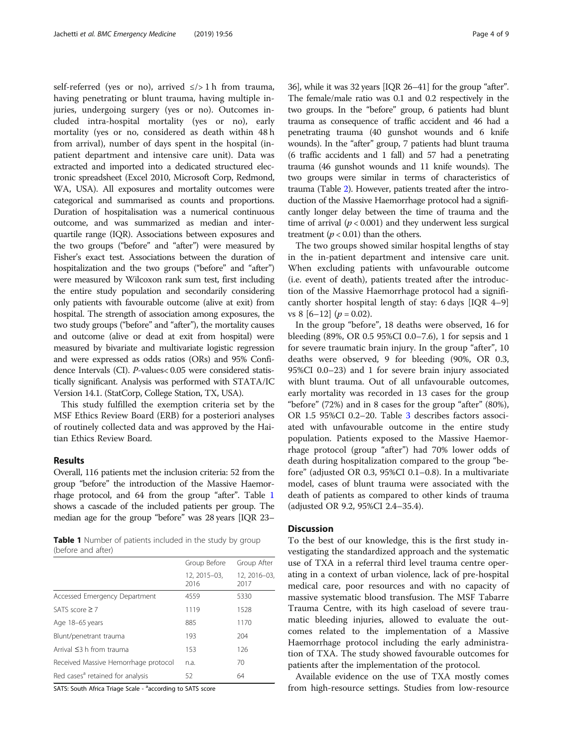self-referred (yes or no), arrived  $\le$ /> 1 h from trauma, having penetrating or blunt trauma, having multiple injuries, undergoing surgery (yes or no). Outcomes included intra-hospital mortality (yes or no), early mortality (yes or no, considered as death within 48 h from arrival), number of days spent in the hospital (inpatient department and intensive care unit). Data was extracted and imported into a dedicated structured electronic spreadsheet (Excel 2010, Microsoft Corp, Redmond, WA, USA). All exposures and mortality outcomes were categorical and summarised as counts and proportions. Duration of hospitalisation was a numerical continuous outcome, and was summarized as median and interquartile range (IQR). Associations between exposures and the two groups ("before" and "after") were measured by Fisher's exact test. Associations between the duration of hospitalization and the two groups ("before" and "after") were measured by Wilcoxon rank sum test, first including the entire study population and secondarily considering only patients with favourable outcome (alive at exit) from hospital. The strength of association among exposures, the two study groups ("before" and "after"), the mortality causes and outcome (alive or dead at exit from hospital) were measured by bivariate and multivariate logistic regression and were expressed as odds ratios (ORs) and 95% Confidence Intervals (CI). P-values< 0.05 were considered statistically significant. Analysis was performed with STATA/IC Version 14.1. (StatCorp, College Station, TX, USA).

This study fulfilled the exemption criteria set by the MSF Ethics Review Board (ERB) for a posteriori analyses of routinely collected data and was approved by the Haitian Ethics Review Board.

## Results

Overall, 116 patients met the inclusion criteria: 52 from the group "before" the introduction of the Massive Haemorrhage protocol, and 64 from the group "after". Table 1 shows a cascade of the included patients per group. The median age for the group "before" was 28 years [IQR 23–

Table 1 Number of patients included in the study by group (before and after)

| Group Before         | Group After         |  |
|----------------------|---------------------|--|
| 12, 2015-03,<br>2016 | 12.2016-03.<br>2017 |  |
| 4559                 | 5330                |  |
| 1119                 | 1528                |  |
| 885                  | 1170                |  |
| 193                  | 204                 |  |
| 153                  | 126                 |  |
| n.a.                 | 70                  |  |
| 52                   | 64                  |  |
|                      |                     |  |

SATS: South Africa Triage Scale - <sup>a</sup>according to SATS score

36], while it was 32 years [IQR 26–41] for the group "after". The female/male ratio was 0.1 and 0.2 respectively in the two groups. In the "before" group, 6 patients had blunt trauma as consequence of traffic accident and 46 had a penetrating trauma (40 gunshot wounds and 6 knife wounds). In the "after" group, 7 patients had blunt trauma (6 traffic accidents and 1 fall) and 57 had a penetrating trauma (46 gunshot wounds and 11 knife wounds). The two groups were similar in terms of characteristics of trauma (Table [2](#page-4-0)). However, patients treated after the introduction of the Massive Haemorrhage protocol had a significantly longer delay between the time of trauma and the time of arrival  $(p < 0.001)$  and they underwent less surgical treatment ( $p < 0.01$ ) than the others.

The two groups showed similar hospital lengths of stay in the in-patient department and intensive care unit. When excluding patients with unfavourable outcome (i.e. event of death), patients treated after the introduction of the Massive Haemorrhage protocol had a significantly shorter hospital length of stay: 6 days [IQR 4–9] vs 8  $[6-12]$  ( $p = 0.02$ ).

In the group "before", 18 deaths were observed, 16 for bleeding (89%, OR 0.5 95%CI 0.0–7.6), 1 for sepsis and 1 for severe traumatic brain injury. In the group "after", 10 deaths were observed, 9 for bleeding (90%, OR 0.3, 95%CI 0.0–23) and 1 for severe brain injury associated with blunt trauma. Out of all unfavourable outcomes, early mortality was recorded in 13 cases for the group "before" (72%) and in 8 cases for the group "after" (80%), OR 1.5 95%CI 0.2–20. Table [3](#page-5-0) describes factors associated with unfavourable outcome in the entire study population. Patients exposed to the Massive Haemorrhage protocol (group "after") had 70% lower odds of death during hospitalization compared to the group "before" (adjusted OR 0.3, 95%CI 0.1–0.8). In a multivariate model, cases of blunt trauma were associated with the death of patients as compared to other kinds of trauma (adjusted OR 9.2, 95%CI 2.4–35.4).

## **Discussion**

To the best of our knowledge, this is the first study investigating the standardized approach and the systematic use of TXA in a referral third level trauma centre operating in a context of urban violence, lack of pre-hospital medical care, poor resources and with no capacity of massive systematic blood transfusion. The MSF Tabarre Trauma Centre, with its high caseload of severe traumatic bleeding injuries, allowed to evaluate the outcomes related to the implementation of a Massive Haemorrhage protocol including the early administration of TXA. The study showed favourable outcomes for patients after the implementation of the protocol.

Available evidence on the use of TXA mostly comes from high-resource settings. Studies from low-resource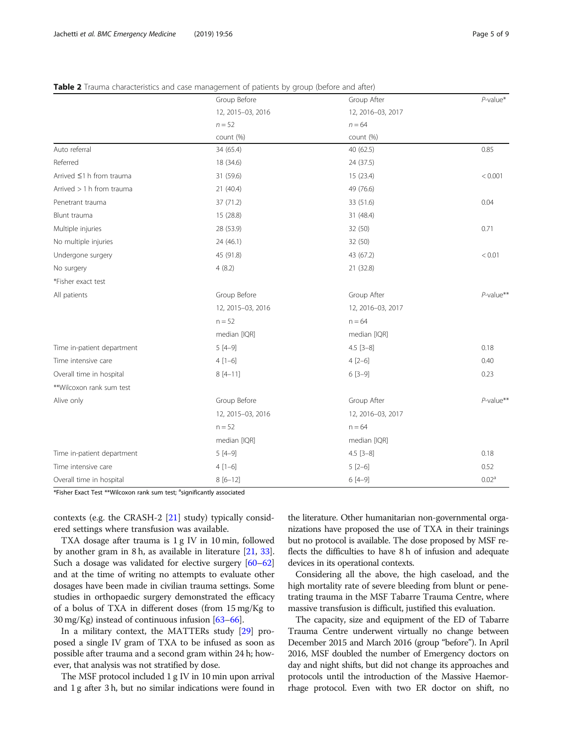## <span id="page-4-0"></span>Table 2 Trauma characteristics and case management of patients by group (before and after)

|                            | Group Before      | Group After       | $P$ -value*       |
|----------------------------|-------------------|-------------------|-------------------|
|                            | 12, 2015-03, 2016 | 12, 2016-03, 2017 |                   |
|                            | $n = 52$          | $n = 64$          |                   |
|                            | count (%)         | count (%)         |                   |
| Auto referral              | 34 (65.4)         | 40 (62.5)         | 0.85              |
| Referred                   | 18 (34.6)         | 24 (37.5)         |                   |
| Arrived ≤1 h from trauma   | 31 (59.6)         | 15(23.4)          | < 0.001           |
| Arrived > 1 h from trauma  | 21 (40.4)         | 49 (76.6)         |                   |
| Penetrant trauma           | 37 (71.2)         | 33 (51.6)         | 0.04              |
| Blunt trauma               | 15 (28.8)         | 31 (48.4)         |                   |
| Multiple injuries          | 28 (53.9)         | 32 (50)           | 0.71              |
| No multiple injuries       | 24 (46.1)         | 32 (50)           |                   |
| Undergone surgery          | 45 (91.8)         | 43 (67.2)         | < 0.01            |
| No surgery                 | 4(8.2)            | 21 (32.8)         |                   |
| *Fisher exact test         |                   |                   |                   |
| All patients               | Group Before      | Group After       | $P$ -value**      |
|                            | 12, 2015-03, 2016 | 12, 2016-03, 2017 |                   |
|                            | $n = 52$          | $n = 64$          |                   |
|                            | median [IQR]      | median [IQR]      |                   |
| Time in-patient department | $5[4-9]$          | $4.5$ [3-8]       | 0.18              |
| Time intensive care        | $4[1-6]$          | $4[2-6]$          | 0.40              |
| Overall time in hospital   | $8[4-11]$         | $6[3-9]$          | 0.23              |
| **Wilcoxon rank sum test   |                   |                   |                   |
| Alive only                 | Group Before      | Group After       | $P$ -value**      |
|                            | 12, 2015-03, 2016 | 12, 2016-03, 2017 |                   |
|                            | $n = 52$          | $n = 64$          |                   |
|                            | median [IQR]      | median [IQR]      |                   |
| Time in-patient department | $5[4-9]$          | $4.5$ [3-8]       | 0.18              |
| Time intensive care        | $4[1-6]$          | $5[2-6]$          | 0.52              |
| Overall time in hospital   | $8[6-12]$         | $6[4-9]$          | 0.02 <sup>a</sup> |
|                            |                   |                   |                   |

\*Fisher Exact Test \*\*Wilcoxon rank sum test; <sup>a</sup>significantly associated

contexts (e.g. the CRASH-2 [\[21](#page-7-0)] study) typically considered settings where transfusion was available.

TXA dosage after trauma is 1 g IV in 10 min, followed by another gram in 8 h, as available in literature [\[21](#page-7-0), [33](#page-7-0)]. Such a dosage was validated for elective surgery [\[60](#page-8-0)–[62](#page-8-0)] and at the time of writing no attempts to evaluate other dosages have been made in civilian trauma settings. Some studies in orthopaedic surgery demonstrated the efficacy of a bolus of TXA in different doses (from 15 mg/Kg to 30 mg/Kg) instead of continuous infusion [\[63](#page-8-0)–[66](#page-8-0)].

In a military context, the MATTERs study [[29](#page-7-0)] proposed a single IV gram of TXA to be infused as soon as possible after trauma and a second gram within 24 h; however, that analysis was not stratified by dose.

The MSF protocol included 1 g IV in 10 min upon arrival and 1 g after 3 h, but no similar indications were found in the literature. Other humanitarian non-governmental organizations have proposed the use of TXA in their trainings but no protocol is available. The dose proposed by MSF reflects the difficulties to have 8 h of infusion and adequate devices in its operational contexts.

Considering all the above, the high caseload, and the high mortality rate of severe bleeding from blunt or penetrating trauma in the MSF Tabarre Trauma Centre, where massive transfusion is difficult, justified this evaluation.

The capacity, size and equipment of the ED of Tabarre Trauma Centre underwent virtually no change between December 2015 and March 2016 (group "before"). In April 2016, MSF doubled the number of Emergency doctors on day and night shifts, but did not change its approaches and protocols until the introduction of the Massive Haemorrhage protocol. Even with two ER doctor on shift, no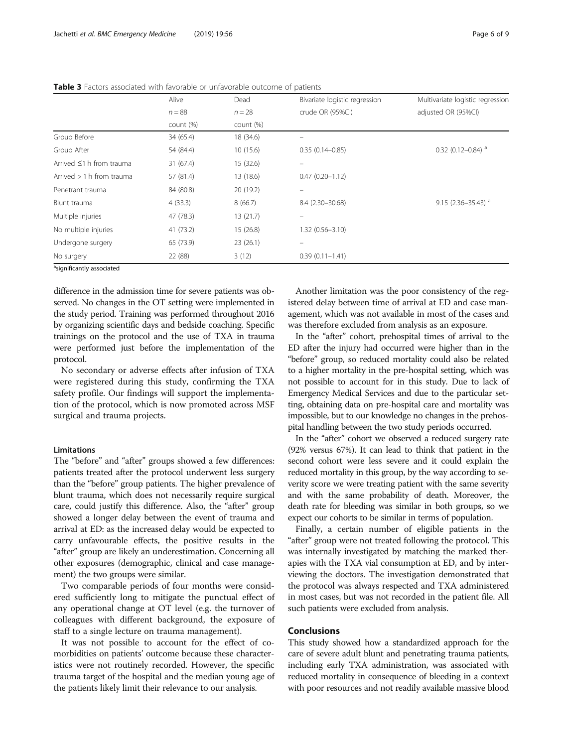|                                  | Alive     | Dead      | Bivariate logistic regression | Multivariate logistic regression |  |
|----------------------------------|-----------|-----------|-------------------------------|----------------------------------|--|
|                                  | $n = 88$  | $n = 28$  | crude OR (95%CI)              | adjusted OR (95%Cl)              |  |
|                                  | count (%) | count (%) |                               |                                  |  |
| Group Before                     | 34 (65.4) | 18 (34.6) |                               |                                  |  |
| Group After                      | 54 (84.4) | 10(15.6)  | $0.35(0.14 - 0.85)$           | $0.32$ (0.12-0.84) <sup>a</sup>  |  |
| Arrived $\leq$ 1 h from trauma   | 31(67.4)  | 15(32.6)  |                               |                                  |  |
| Arrived $> 1$ h from trauma      | 57 (81.4) | 13 (18.6) | $0.47(0.20 - 1.12)$           |                                  |  |
| Penetrant trauma                 | 84 (80.8) | 20 (19.2) |                               |                                  |  |
| Blunt trauma                     | 4(33.3)   | 8(66.7)   | 8.4 (2.30-30.68)              | 9.15 (2.36-35.43) $a$            |  |
| Multiple injuries                | 47 (78.3) | 13(21.7)  |                               |                                  |  |
| No multiple injuries             | 41 (73.2) | 15(26.8)  | 1.32 (0.56-3.10)              |                                  |  |
| Undergone surgery                | 65 (73.9) | 23(26.1)  | $\equiv$                      |                                  |  |
| No surgery                       | 22 (88)   | 3(12)     | $0.39(0.11 - 1.41)$           |                                  |  |
| $\sim$ $\sim$ $\sim$ $\sim$<br>. |           |           |                               |                                  |  |

<span id="page-5-0"></span>Table 3 Factors associated with favorable or unfavorable outcome of patients

<sup>a</sup>significantly associated

difference in the admission time for severe patients was observed. No changes in the OT setting were implemented in the study period. Training was performed throughout 2016 by organizing scientific days and bedside coaching. Specific trainings on the protocol and the use of TXA in trauma were performed just before the implementation of the protocol.

No secondary or adverse effects after infusion of TXA were registered during this study, confirming the TXA safety profile. Our findings will support the implementation of the protocol, which is now promoted across MSF surgical and trauma projects.

### Limitations

The "before" and "after" groups showed a few differences: patients treated after the protocol underwent less surgery than the "before" group patients. The higher prevalence of blunt trauma, which does not necessarily require surgical care, could justify this difference. Also, the "after" group showed a longer delay between the event of trauma and arrival at ED: as the increased delay would be expected to carry unfavourable effects, the positive results in the "after" group are likely an underestimation. Concerning all other exposures (demographic, clinical and case management) the two groups were similar.

Two comparable periods of four months were considered sufficiently long to mitigate the punctual effect of any operational change at OT level (e.g. the turnover of colleagues with different background, the exposure of staff to a single lecture on trauma management).

It was not possible to account for the effect of comorbidities on patients' outcome because these characteristics were not routinely recorded. However, the specific trauma target of the hospital and the median young age of the patients likely limit their relevance to our analysis.

Another limitation was the poor consistency of the registered delay between time of arrival at ED and case management, which was not available in most of the cases and was therefore excluded from analysis as an exposure.

In the "after" cohort, prehospital times of arrival to the ED after the injury had occurred were higher than in the "before" group, so reduced mortality could also be related to a higher mortality in the pre-hospital setting, which was not possible to account for in this study. Due to lack of Emergency Medical Services and due to the particular setting, obtaining data on pre-hospital care and mortality was impossible, but to our knowledge no changes in the prehospital handling between the two study periods occurred.

In the "after" cohort we observed a reduced surgery rate (92% versus 67%). It can lead to think that patient in the second cohort were less severe and it could explain the reduced mortality in this group, by the way according to severity score we were treating patient with the same severity and with the same probability of death. Moreover, the death rate for bleeding was similar in both groups, so we expect our cohorts to be similar in terms of population.

Finally, a certain number of eligible patients in the "after" group were not treated following the protocol. This was internally investigated by matching the marked therapies with the TXA vial consumption at ED, and by interviewing the doctors. The investigation demonstrated that the protocol was always respected and TXA administered in most cases, but was not recorded in the patient file. All such patients were excluded from analysis.

## Conclusions

This study showed how a standardized approach for the care of severe adult blunt and penetrating trauma patients, including early TXA administration, was associated with reduced mortality in consequence of bleeding in a context with poor resources and not readily available massive blood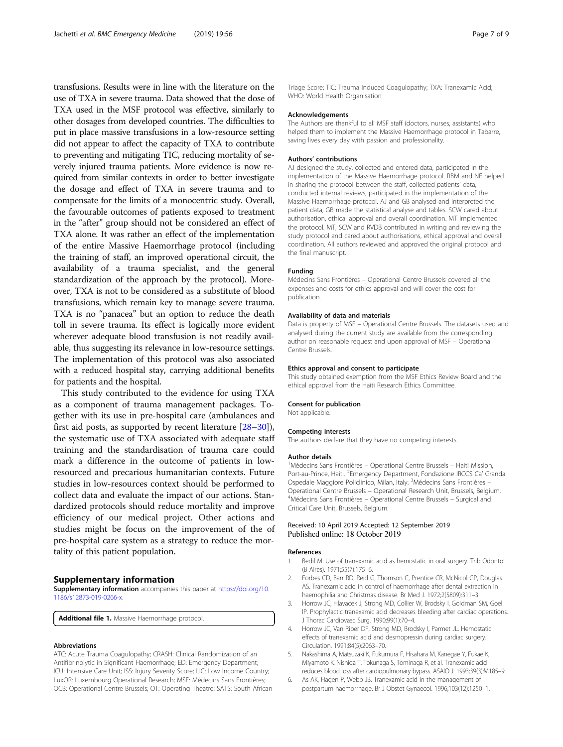<span id="page-6-0"></span>transfusions. Results were in line with the literature on the use of TXA in severe trauma. Data showed that the dose of TXA used in the MSF protocol was effective, similarly to other dosages from developed countries. The difficulties to put in place massive transfusions in a low-resource setting did not appear to affect the capacity of TXA to contribute to preventing and mitigating TIC, reducing mortality of severely injured trauma patients. More evidence is now required from similar contexts in order to better investigate the dosage and effect of TXA in severe trauma and to compensate for the limits of a monocentric study. Overall, the favourable outcomes of patients exposed to treatment in the "after" group should not be considered an effect of TXA alone. It was rather an effect of the implementation of the entire Massive Haemorrhage protocol (including the training of staff, an improved operational circuit, the availability of a trauma specialist, and the general standardization of the approach by the protocol). Moreover, TXA is not to be considered as a substitute of blood transfusions, which remain key to manage severe trauma. TXA is no "panacea" but an option to reduce the death toll in severe trauma. Its effect is logically more evident wherever adequate blood transfusion is not readily available, thus suggesting its relevance in low-resource settings. The implementation of this protocol was also associated with a reduced hospital stay, carrying additional benefits for patients and the hospital.

This study contributed to the evidence for using TXA as a component of trauma management packages. Together with its use in pre-hospital care (ambulances and first aid posts, as supported by recent literature [\[28](#page-7-0)–[30](#page-7-0)]), the systematic use of TXA associated with adequate staff training and the standardisation of trauma care could mark a difference in the outcome of patients in lowresourced and precarious humanitarian contexts. Future studies in low-resources context should be performed to collect data and evaluate the impact of our actions. Standardized protocols should reduce mortality and improve efficiency of our medical project. Other actions and studies might be focus on the improvement of the of pre-hospital care system as a strategy to reduce the mortality of this patient population.

#### Supplementary information

Supplementary information accompanies this paper at [https://doi.org/10.](https://doi.org/10.1186/s12873-019-0266-x) [1186/s12873-019-0266-x](https://doi.org/10.1186/s12873-019-0266-x).

Additional file 1. Massive Haemorrhage protocol.

#### Abbreviations

ATC: Acute Trauma Coagulopathy; CRASH: Clinical Randomization of an Antifibrinolytic in Significant Haemorrhage; ED: Emergency Department; ICU: Intensive Care Unit; ISS: Injury Severity Score; LIC: Low Income Country; LuxOR: Luxembourg Operational Research; MSF: Médecins Sans Frontières; OCB: Operational Centre Brussels; OT: Operating Theatre; SATS: South African

Triage Score; TIC: Trauma Induced Coagulopathy; TXA: Tranexamic Acid; WHO: World Health Organisation

#### Acknowledgements

The Authors are thankful to all MSF staff (doctors, nurses, assistants) who helped them to implement the Massive Haemorrhage protocol in Tabarre, saving lives every day with passion and professionality.

### Authors' contributions

AJ designed the study, collected and entered data, participated in the implementation of the Massive Haemorrhage protocol. RBM and NE helped in sharing the protocol between the staff, collected patients' data, conducted internal reviews, participated in the implementation of the Massive Haemorrhage protocol. AJ and GB analysed and interpreted the patient data, GB made the statistical analyse and tables. SCW cared about authorisation, ethical approval and overall coordination. MT implemented the protocol. MT, SCW and RVDB contributed in writing and reviewing the study protocol and cared about authorisations, ethical approval and overall coordination. All authors reviewed and approved the original protocol and the final manuscript.

## Funding

Médecins Sans Frontières – Operational Centre Brussels covered all the expenses and costs for ethics approval and will cover the cost for publication.

#### Availability of data and materials

Data is property of MSF – Operational Centre Brussels. The datasets used and analysed during the current study are available from the corresponding author on reasonable request and upon approval of MSF – Operational Centre Brussels.

#### Ethics approval and consent to participate

This study obtained exemption from the MSF Ethics Review Board and the ethical approval from the Haiti Research Ethics Committee.

### Consent for publication

Not applicable.

#### Competing interests

The authors declare that they have no competing interests.

#### Author details

<sup>1</sup> Médecins Sans Frontières - Operational Centre Brussels - Haiti Mission Port-au-Prince, Haiti. <sup>2</sup>Emergency Department, Fondazione IRCCS Ca' Granda Ospedale Maggiore Policlinico, Milan, Italy. <sup>3</sup>Médecins Sans Frontières -Operational Centre Brussels – Operational Research Unit, Brussels, Belgium. <sup>4</sup> Médecins Sans Frontières – Operational Centre Brussels – Surgical and Critical Care Unit, Brussels, Belgium.

## Received: 10 April 2019 Accepted: 12 September 2019 Published online: 18 October 2019

### References

- 1. Bedil M. Use of tranexamic acid as hemostatic in oral surgery. Trib Odontol (B Aires). 1971;55(7):175–6.
- 2. Forbes CD, Barr RD, Reid G, Thomson C, Prentice CR, McNicol GP, Douglas AS. Tranexamic acid in control of haemorrhage after dental extraction in haemophilia and Christmas disease. Br Med J. 1972;2(5809):311–3.
- 3. Horrow JC, Hlavacek J, Strong MD, Collier W, Brodsky I, Goldman SM, Goel IP. Prophylactic tranexamic acid decreases bleeding after cardiac operations. J Thorac Cardiovasc Surg. 1990;99(1):70–4.
- 4. Horrow JC, Van Riper DF, Strong MD, Brodsky I, Parmet JL. Hemostatic effects of tranexamic acid and desmopressin during cardiac surgery. Circulation. 1991;84(5):2063–70.
- 5. Nakashima A, Matsuzaki K, Fukumura F, Hisahara M, Kanegae Y, Fukae K, Miyamoto K, Nishida T, Tokunaga S, Tominaga R, et al. Tranexamic acid reduces blood loss after cardiopulmonary bypass. ASAIO J. 1993;39(3):M185–9.
- 6. As AK, Hagen P, Webb JB. Tranexamic acid in the management of postpartum haemorrhage. Br J Obstet Gynaecol. 1996;103(12):1250–1.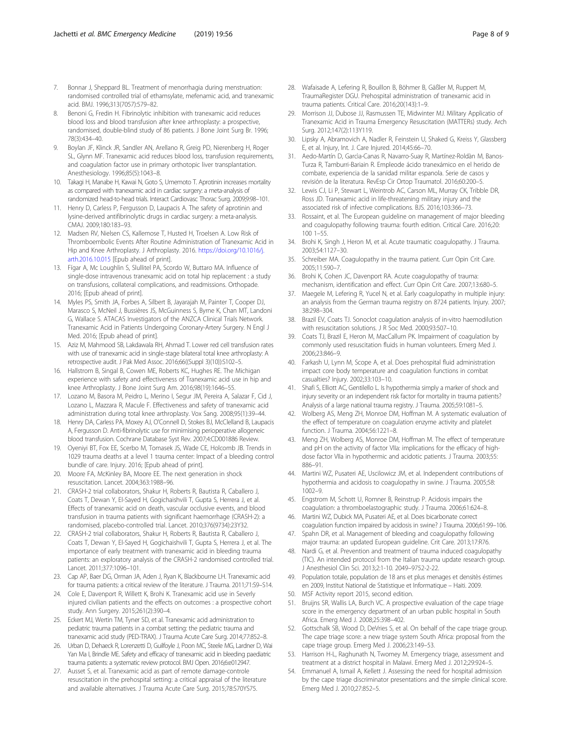- <span id="page-7-0"></span>7. Bonnar J, Sheppard BL. Treatment of menorrhagia during menstruation: randomised controlled trial of ethamsylate, mefenamic acid, and tranexamic acid. BMJ. 1996;313(7057):579–82.
- Benoni G, Fredin H. Fibrinolytic inhibition with tranexamic acid reduces blood loss and blood transfusion after knee arthroplasty: a prospective, randomised, double-blind study of 86 patients. J Bone Joint Surg Br. 1996; 78(3):434–40.
- 9. Boylan JF, Klinck JR, Sandler AN, Arellano R, Greig PD, Nierenberg H, Roger SL, Glynn MF. Tranexamic acid reduces blood loss, transfusion requirements, and coagulation factor use in primary orthotopic liver transplantation. Anesthesiology. 1996;85(5):1043–8.
- 10. Takagi H, Manabe H, Kawai N, Goto S, Umemoto T. Aprotinin increases mortality as compared with tranexamic acid in cardiac surgery: a meta-analysis of randomized head-to-head trials. Interact Cardiovasc Thorac Surg. 2009;9:98–101.
- 11. Henry D, Carless P, Fergusson D, Laupacis A. The safety of aprotinin and lysine-derived antifibrinolytic drugs in cardiac surgery: a meta-analysis. CMAJ. 2009;180:183–93.
- 12. Madsen RV, Nielsen CS, Kallemose T, Husted H, Troelsen A. Low Risk of Thromboembolic Events After Routine Administration of Tranexamic Acid in Hip and Knee Arthroplasty. J Arthroplasty. 2016. [https://doi.org/10.1016/j.](https://doi.org/10.1016/j.arth.2016.10.015) [arth.2016.10.015](https://doi.org/10.1016/j.arth.2016.10.015) [Epub ahead of print].
- 13. Fígar A, Mc Loughlin S, Slullitel PA, Scordo W, Buttaro MA. Influence of single-dose intravenous tranexamic acid on total hip replacement : a study on transfusions, collateral complications, and readmissions. Orthopade. 2016; [Epub ahead of print].
- 14. Myles PS, Smith JA, Forbes A, Silbert B, Jayarajah M, Painter T, Cooper DJ, Marasco S, McNeil J, Bussières JS, McGuinness S, Byrne K, Chan MT, Landoni G, Wallace S. ATACAS Investigators of the ANZCA Clinical Trials Network. Tranexamic Acid in Patients Undergoing Coronary-Artery Surgery. N Engl J Med. 2016; [Epub ahead of print].
- 15. Aziz M, Mahmood SB, Lakdawala RH, Ahmad T. Lower red cell transfusion rates with use of tranexamic acid in single-stage bilateral total knee arthroplasty: A retrospective audit. J Pak Med Assoc. 2016;66((Suppl 3)(10)):S102–5.
- 16. Hallstrom B, Singal B, Cowen ME, Roberts KC, Hughes RE. The Michigan experience with safety and effectiveness of Tranexamic acid use in hip and knee Arthroplasty. J Bone Joint Surg Am. 2016;98(19):1646–55.
- 17. Lozano M, Basora M, Peidro L, Merino I, Segur JM, Pereira A, Salazar F, Cid J, Lozano L, Mazzara R, Macule F. Effectiveness and safety of tranexamic acid administration during total knee arthroplasty. Vox Sang. 2008;95(1):39–44.
- 18. Henry DA, Carless PA, Moxey AJ, O'Connell D, Stokes BJ, McClelland B, Laupacis A, Fergusson D. Anti-fibrinolytic use for minimising perioperative allogeneic blood transfusion. Cochrane Database Syst Rev. 2007;4:CD001886 Review.
- 19. Oyeniyi BT, Fox EE, Scerbo M, Tomasek JS, Wade CE, Holcomb JB. Trends in 1029 trauma deaths at a level 1 trauma center: Impact of a bleeding control bundle of care. Injury. 2016; [Epub ahead of print].
- 20. Moore FA, McKinley BA, Moore EE. The next generation in shock resuscitation. Lancet. 2004;363:1988–96.
- 21. CRASH-2 trial collaborators, Shakur H, Roberts R, Bautista R, Caballero J, Coats T, Dewan Y, El-Sayed H, Gogichaishvili T, Gupta S, Herrera J, et al. Effects of tranexamic acid on death, vascular occlusive events, and blood transfusion in trauma patients with significant haemorrhage (CRASH-2): a randomised, placebo-controlled trial. Lancet. 2010;376(9734):23Y32.
- 22. CRASH-2 trial collaborators, Shakur H, Roberts R, Bautista R, Caballero J, Coats T, Dewan Y, El-Sayed H, Gogichaishvili T, Gupta S, Herrera J, et al. The importance of early treatment with tranexamic acid in bleeding trauma patients: an exploratory analysis of the CRASH-2 randomised controlled trial. Lancet. 2011;377:1096–101.
- 23. Cap AP, Baer DG, Orman JA, Aden J, Ryan K, Blackbourne LH. Tranexamic acid for trauma patients: a critical review of the literature. J Trauma. 2011;71:S9–S14.
- 24. Cole E, Davenport R, Willett K, Brohi K. Tranexamic acid use in Severly injured civilian patients and the effects on outcomes : a prospective cohort study. Ann Surgery. 2015;261(2):390–4.
- 25. Eckert MJ, Wertin TM, Tyner SD, et al. Tranexamic acid administration to pediatric trauma patients in a combat setting: the pediatric trauma and tranexamic acid study (PED-TRAX). J Trauma Acute Care Surg. 2014;77:852–8.
- 26. Urban D, Dehaeck R, Lorenzetti D, Guilfoyle J, Poon MC, Steele MG, Lardner D, Wai Yan Ma I, Brindle ME. Safety and efficacy of tranexamic acid in bleeding paediatric trauma patients: a systematic review protocol. BMJ Open. 2016;6:e012947.
- 27. Ausset S, et al. Tranexamic acid as part of remote damage-controle resuscitation in the prehospital setting: a critical appraisal of the literature and available alternatives. J Trauma Acute Care Surg. 2015;78:S70YS75.
- 28. Wafaisade A, Lefering R, Bouillon B, Böhmer B, Gäßler M, Ruppert M, TraumaRegister DGU. Prehospital administration of tranexamic acid in trauma patients. Critical Care. 2016;20(143):1–9.
- 29. Morrison JJ, Dubose JJ, Rasmussen TE, Midwinter MJ. Military Applicatio of Tranexamic Acid in Trauma Emergency Resuscitation (MATTERs) study. Arch Surg. 2012;147(2):113Y119.
- 30. Lipsky A, Abramovich A, Nadler R, Feinstein U, Shaked G, Kreiss Y, Glassberg E, et al. Injury, Int. J. Care Injured. 2014;45:66–70.
- 31. Aedo-Martín D, Garcìa-Canas R, Navarro-Suay R, Martínez-Roldàn M, Banos-Turza R, Tamburri-Bariain R. Empleode ácido tranexámico en el herido de combate, experiencia de la sanidad militar espanola. Serie de casos y revisión de la literatura. RevEsp Cir Ortop Traumatol. 2016;60:200–5.
- 32. Lewis CJ, Li P, Stewart L, Weintrob AC, Carson ML, Murray CK, Tribble DR, Ross JD. Tranexamic acid in life-threatening military injury and the associated risk of infective complications. BJS. 2016;103:366–73.
- 33. Rossaint, et al. The European guideline on management of major bleeding and coagulopathy following trauma: fourth edition. Critical Care. 2016;20: 100 1–55.
- 34. Brohi K, Singh J, Heron M, et al. Acute traumatic coagulopathy. J Trauma. 2003;54:1127–30.
- 35. Schreiber MA. Coagulopathy in the trauma patient. Curr Opin Crit Care. 2005;11:590–7.
- 36. Brohi K, Cohen JC, Davenport RA. Acute coagulopathy of trauma: mechanism, identification and effect. Curr Opin Crit Care. 2007;13:680–5.
- Maegele M, Lefering R, Yucel N, et al. Early coagulopathy in multiple injury: an analysis from the German trauma registry on 8724 patients. Injury. 2007; 38:298–304.
- 38. Brazil EV, Coats TJ. Sonoclot coagulation analysis of in-vitro haemodilution with resuscitation solutions. J R Soc Med. 2000;93:507–10.
- 39. Coats TJ, Brazil E, Heron M, MacCallum PK. Impairment of coagulation by commonly used resuscitation fluids in human volunteers. Emerg Med J. 2006;23:846–9.
- 40. Farkash U, Lynn M, Scope A, et al. Does prehospital fluid administration impact core body temperature and coagulation functions in combat casualties? Injury. 2002;33:103–10.
- 41. Shafi S, Elliott AC, Gentilello L. Is hypothermia simply a marker of shock and injury severity or an independent risk factor for mortality in trauma patients? Analysis of a large national trauma registry. J Trauma. 2005;59:1081–5.
- 42. Wolberg AS, Meng ZH, Monroe DM, Hoffman M. A systematic evaluation of the effect of temperature on coagulation enzyme activity and platelet function. J Trauma. 2004;56:1221–8.
- 43. Meng ZH, Wolberg AS, Monroe DM, Hoffman M. The effect of temperature and pH on the activity of factor VIIa: implications for the efficacy of highdose factor VIIa in hypothermic and acidotic patients. J Trauma. 2003;55: 886–91.
- 44. Martini WZ, Pusateri AE, Uscilowicz JM, et al. Independent contributions of hypothermia and acidosis to coagulopathy in swine. J Trauma. 2005;58: 1002–9.
- 45. Engstrom M, Schott U, Romner B, Reinstrup P. Acidosis impairs the coagulation: a thromboelastographic study. J Trauma. 2006;61:624–8.
- 46. Martini WZ, Dubick MA, Pusateri AE, et al. Does bicarbonate correct coagulation function impaired by acidosis in swine? J Trauma. 2006;61:99–106. 47. Spahn DR, et al. Management of bleeding and coagulopathy following
- major trauma: an updated European guideline. Crit Care. 2013;17:R76.
- 48. Nardi G, et al. Prevention and treatment of trauma induced coagulopathy (TIC). An intended protocol from the Italian trauma update research group. J Anesthesiol Clin Sci. 2013;2:1-10. 2049–9752-2-22.
- 49. Population totale, population de 18 ans et plus menages et densitès éstimes en 2009, Institut National de Statistique et Informatique – Haiti. 2009.
- 50. MSF Activity report 2015, second edition.
- 51. Bruijns SR, Wallis LA, Burch VC. A prospective evaluation of the cape triage score in the emergency department of an urban public hospital in South Africa. Emerg Med J. 2008;25:398–402.
- 52. Gottschalk SB, Wood D, DeVries S, et al. On behalf of the cape triage group. The cape triage score: a new triage system South Africa: proposal from the cape triage group. Emerg Med J. 2006;23:149–53.
- 53. Harrison H-L, Raghunath N, Twomey M. Emergency triage, assessment and treatment at a district hospital in Malawi. Emerg Med J. 2012;29:924–5.
- 54. Emmanuel A, Ismail A, Kellett J. Assessing the need for hospital admission by the cape triage discriminator presentations and the simple clinical score. Emerg Med J. 2010;27:852–5.